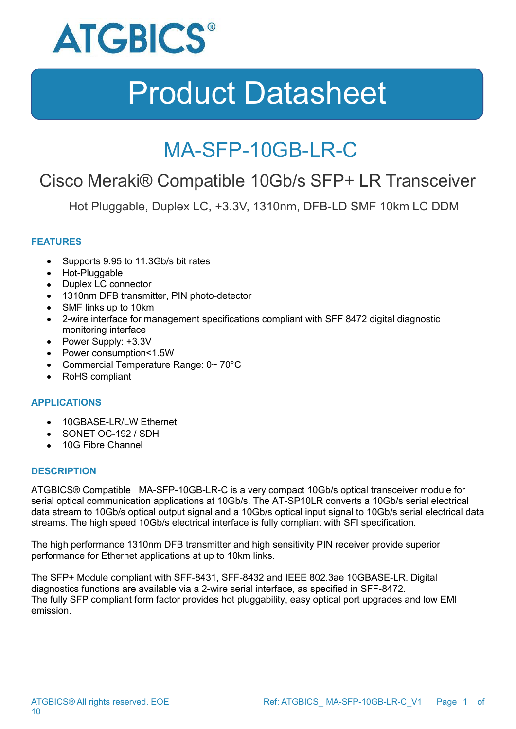

### MA-SFP-10GB-LR-C

### Cisco Meraki® Compatible 10Gb/s SFP+ LR Transceiver

Hot Pluggable, Duplex LC, +3.3V, 1310nm, DFB-LD SMF 10km LC DDM

### **FEATURES**

- Supports 9.95 to 11.3Gb/s bit rates
- Hot-Pluggable
- Duplex LC connector
- 1310nm DFB transmitter, PIN photo-detector
- SMF links up to 10km
- 2-wire interface for management specifications compliant with SFF 8472 digital diagnostic monitoring interface
- Power Supply: +3.3V
- Power consumption<1.5W
- Commercial Temperature Range: 0~70°C
- RoHS compliant

#### **APPLICATIONS**

- 10GBASE-LR/LW Ethernet
- SONET OC-192 / SDH
- 10G Fibre Channel

#### **DESCRIPTION**

ATGBICS® Compatible MA-SFP-10GB-LR-C is a very compact 10Gb/s optical transceiver module for serial optical communication applications at 10Gb/s. The AT-SP10LR converts a 10Gb/s serial electrical data stream to 10Gb/s optical output signal and a 10Gb/s optical input signal to 10Gb/s serial electrical data streams. The high speed 10Gb/s electrical interface is fully compliant with SFI specification.

The high performance 1310nm DFB transmitter and high sensitivity PIN receiver provide superior performance for Ethernet applications at up to 10km links.

The SFP+ Module compliant with SFF-8431, SFF-8432 and IEEE 802.3ae 10GBASE-LR. Digital diagnostics functions are available via a 2-wire serial interface, as specified in SFF-8472. The fully SFP compliant form factor provides hot pluggability, easy optical port upgrades and low EMI emission.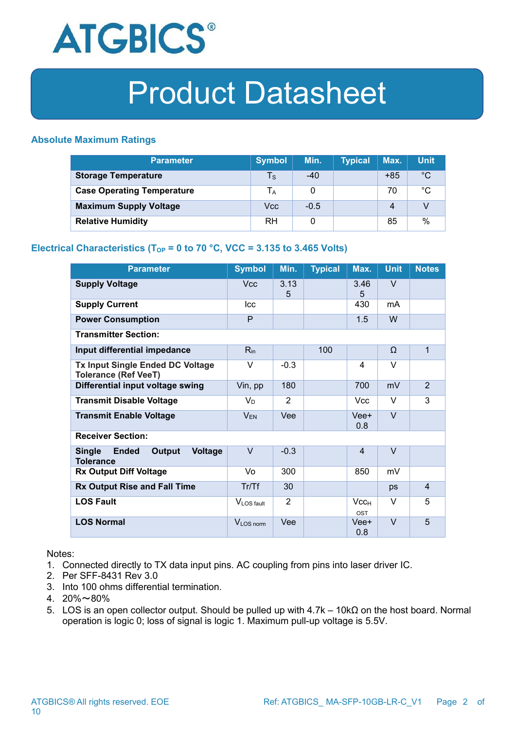

### **Absolute Maximum Ratings**

| <b>Parameter</b>                  | <b>Symbol</b>         | Min.   | <b>Typical</b> | Max.  | <b>Unit</b>  |
|-----------------------------------|-----------------------|--------|----------------|-------|--------------|
| <b>Storage Temperature</b>        | $T_{\rm S}$           | -40    |                | $+85$ | $^{\circ}C$  |
| <b>Case Operating Temperature</b> | <b>T</b> <sub>A</sub> |        |                | 70    | $^{\circ}$ C |
| <b>Maximum Supply Voltage</b>     | Vcc                   | $-0.5$ |                | 4     |              |
| <b>Relative Humidity</b>          | <b>RH</b>             |        |                | 85    | %            |

### **Electrical Characteristics** ( $T_{OP}$  = 0 to 70 °C, VCC = 3.135 to 3.465 Volts)

| <b>Parameter</b>                                                              | <b>Symbol</b>  | Min.           | <b>Typical</b> | Max.                           | <b>Unit</b>    | <b>Notes</b>   |
|-------------------------------------------------------------------------------|----------------|----------------|----------------|--------------------------------|----------------|----------------|
| <b>Supply Voltage</b>                                                         | <b>Vcc</b>     | 3.13<br>5      |                | 3.46<br>5                      | $\vee$         |                |
| <b>Supply Current</b>                                                         | <b>Icc</b>     |                |                | 430                            | mA             |                |
| <b>Power Consumption</b>                                                      | P              |                |                | 1.5                            | W              |                |
| <b>Transmitter Section:</b>                                                   |                |                |                |                                |                |                |
| Input differential impedance                                                  | $R_{in}$       |                | 100            |                                | Ω              | 1              |
| Tx Input Single Ended DC Voltage<br><b>Tolerance (Ref VeeT)</b>               | $\vee$         | $-0.3$         |                | 4                              | $\vee$         |                |
| Differential input voltage swing                                              | Vin, pp        | 180            |                | 700                            | mV             | $\overline{2}$ |
| <b>Transmit Disable Voltage</b>                                               | V <sub>D</sub> | $\overline{2}$ |                | <b>Vcc</b>                     | $\vee$         | 3              |
| <b>Transmit Enable Voltage</b>                                                | $V_{EN}$       | Vee            |                | Vee+<br>0.8                    | $\overline{V}$ |                |
| <b>Receiver Section:</b>                                                      |                |                |                |                                |                |                |
| <b>Single</b><br><b>Ended</b><br><b>Output</b><br>Voltage<br><b>Tolerance</b> | $\vee$         | $-0.3$         |                | $\overline{4}$                 | $\vee$         |                |
| <b>Rx Output Diff Voltage</b>                                                 | Vo             | 300            |                | 850                            | mV             |                |
| <b>Rx Output Rise and Fall Time</b>                                           | Tr/Tf          | 30             |                |                                | ps             | 4              |
| <b>LOS Fault</b>                                                              | VLOS fault     | $\overline{2}$ |                | Vcc <sub>H</sub><br><b>OST</b> | $\vee$         | 5              |
| <b>LOS Normal</b>                                                             | VLOS norm      | Vee            |                | Vee+<br>0.8                    | $\vee$         | 5              |

Notes:

- 1. Connected directly to TX data input pins. AC coupling from pins into laser driver IC.
- 2. Per SFF-8431 Rev 3.0
- 3. Into 100 ohms differential termination.
- 4.  $20\% \sim 80\%$
- 5. LOS is an open collector output. Should be pulled up with 4.7k 10kΩ on the host board. Normal operation is logic 0; loss of signal is logic 1. Maximum pull-up voltage is 5.5V.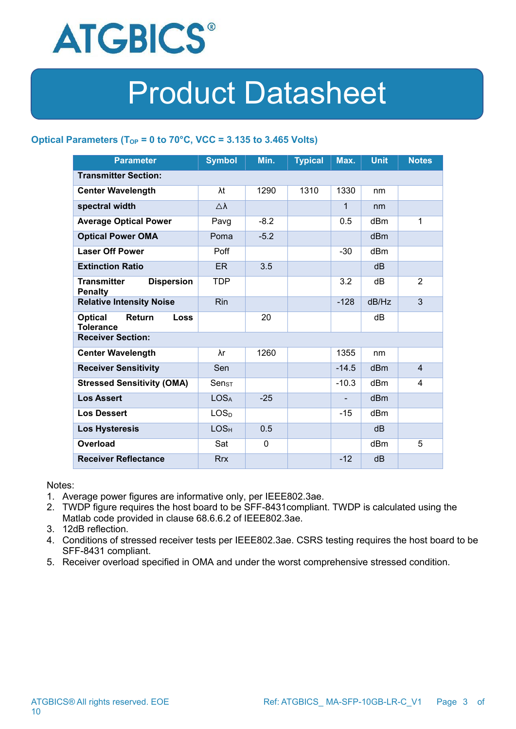

### **Optical Parameters (TOP = 0 to 70°C, VCC = 3.135 to 3.465 Volts)**

| <b>Parameter</b>                                            | <b>Symbol</b>      | Min.        | <b>Typical</b> | Max.         | <b>Unit</b>     | <b>Notes</b>   |  |
|-------------------------------------------------------------|--------------------|-------------|----------------|--------------|-----------------|----------------|--|
| <b>Transmitter Section:</b>                                 |                    |             |                |              |                 |                |  |
| <b>Center Wavelength</b>                                    | λt                 | 1290        | 1310           | 1330         | nm              |                |  |
| spectral width                                              | $\triangle\lambda$ |             |                | $\mathbf{1}$ | nm              |                |  |
| <b>Average Optical Power</b>                                | Pavg               | $-8.2$      |                | 0.5          | dBm             | 1              |  |
| <b>Optical Power OMA</b>                                    | Poma               | $-5.2$      |                |              | dBm             |                |  |
| <b>Laser Off Power</b>                                      | Poff               |             |                | $-30$        | dB <sub>m</sub> |                |  |
| <b>Extinction Ratio</b>                                     | ER                 | 3.5         |                |              | dB              |                |  |
| <b>Transmitter</b><br><b>Dispersion</b><br><b>Penalty</b>   | <b>TDP</b>         |             |                | 3.2          | dB              | 2              |  |
| <b>Relative Intensity Noise</b>                             | Rin                |             |                | $-128$       | dB/Hz           | $\mathbf{3}$   |  |
| <b>Optical</b><br>Return<br><b>Loss</b><br><b>Tolerance</b> |                    | 20          |                |              | dB              |                |  |
| <b>Receiver Section:</b>                                    |                    |             |                |              |                 |                |  |
| <b>Center Wavelength</b>                                    | λr                 | 1260        |                | 1355         | nm              |                |  |
| <b>Receiver Sensitivity</b>                                 | Sen                |             |                | $-14.5$      | dBm             | $\overline{4}$ |  |
| <b>Stressed Sensitivity (OMA)</b>                           | Sen <sub>ST</sub>  |             |                | $-10.3$      | dBm             | 4              |  |
| <b>Los Assert</b>                                           | LOS <sub>A</sub>   | $-25$       |                | Ξ.           | dBm             |                |  |
| <b>Los Dessert</b>                                          | LOS <sub>D</sub>   |             |                | $-15$        | dBm             |                |  |
| <b>Los Hysteresis</b>                                       | LOS <sub>H</sub>   | 0.5         |                |              | dB              |                |  |
| Overload                                                    | Sat                | $\mathbf 0$ |                |              | dBm             | 5              |  |
| <b>Receiver Reflectance</b>                                 | <b>Rrx</b>         |             |                | $-12$        | dB              |                |  |

Notes:

- 1. Average power figures are informative only, per IEEE802.3ae.
- 2. TWDP figure requires the host board to be SFF-8431compliant. TWDP is calculated using the Matlab code provided in clause 68.6.6.2 of IEEE802.3ae.
- 3. 12dB reflection.
- 4. Conditions of stressed receiver tests per IEEE802.3ae. CSRS testing requires the host board to be SFF-8431 compliant.
- 5. Receiver overload specified in OMA and under the worst comprehensive stressed condition.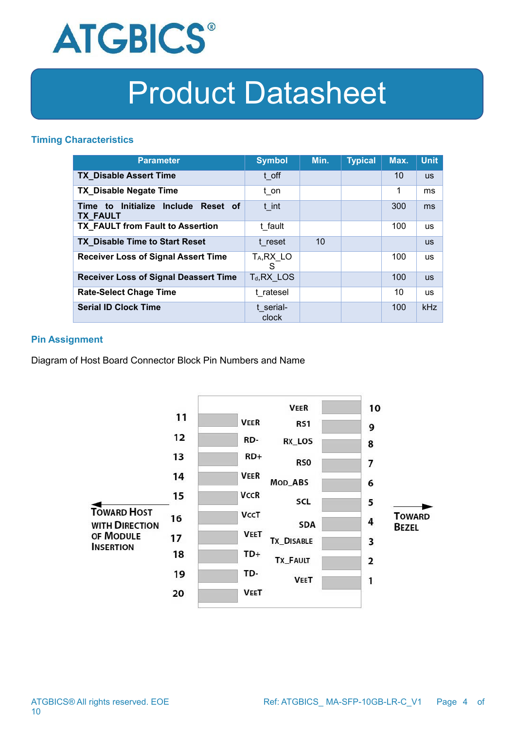

### **Timing Characteristics**

| <b>Parameter</b>                                       | <b>Symbol</b>                | Min. | <b>Typical</b> | Max. | <b>Unit</b> |
|--------------------------------------------------------|------------------------------|------|----------------|------|-------------|
| <b>TX Disable Assert Time</b>                          | t off                        |      |                | 10   | <b>us</b>   |
| <b>TX_Disable Negate Time</b>                          | t on                         |      |                | 1    | ms          |
| Time to Initialize Include Reset of<br><b>TX FAULT</b> | t int                        |      |                | 300  | ms          |
| TX FAULT from Fault to Assertion                       | t fault                      |      |                | 100  | <b>us</b>   |
| <b>TX_Disable Time to Start Reset</b>                  | t reset                      | 10   |                |      | <b>us</b>   |
| <b>Receiver Loss of Signal Assert Time</b>             | T <sub>A</sub> , RX_LO<br>S. |      |                | 100  | <b>us</b>   |
| <b>Receiver Loss of Signal Deassert Time</b>           | $T_d, RX$ LOS                |      |                | 100  | <b>us</b>   |
| <b>Rate-Select Chage Time</b>                          | t ratesel                    |      |                | 10   | <b>US</b>   |
| <b>Serial ID Clock Time</b>                            | t serial-<br>clock           |      |                | 100  | kHz         |

### **Pin Assignment**

Diagram of Host Board Connector Block Pin Numbers and Name

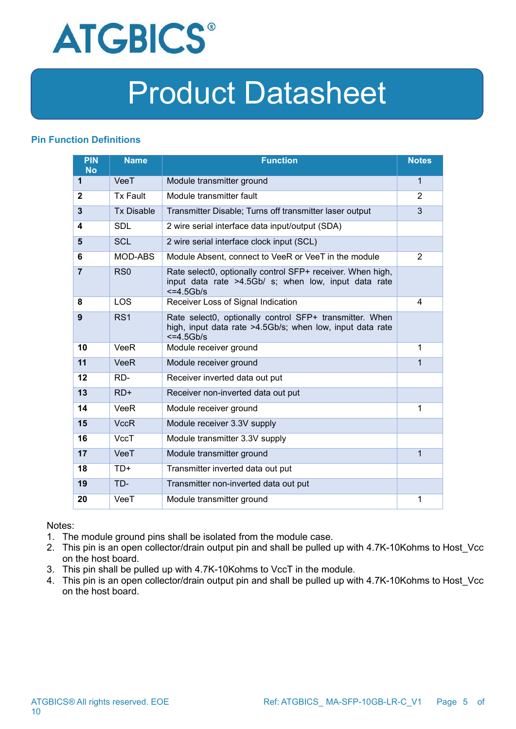

### **Pin Function Definitions**

| <b>PIN</b><br><b>No</b> | <b>Name</b>       | <b>Function</b>                                                                                                                     | <b>Notes</b>            |
|-------------------------|-------------------|-------------------------------------------------------------------------------------------------------------------------------------|-------------------------|
| 1                       | VeeT              | Module transmitter ground                                                                                                           | $\mathbf{1}$            |
| $\mathbf{2}$            | <b>Tx Fault</b>   | Module transmitter fault                                                                                                            | $\overline{2}$          |
| 3                       | <b>Tx Disable</b> | Transmitter Disable; Turns off transmitter laser output                                                                             |                         |
| 4                       | <b>SDL</b>        | 2 wire serial interface data input/output (SDA)                                                                                     |                         |
| 5                       | <b>SCL</b>        | 2 wire serial interface clock input (SCL)                                                                                           |                         |
| 6                       | MOD-ABS           | Module Absent, connect to VeeR or VeeT in the module                                                                                | 2                       |
| $\overline{7}$          | RS <sub>0</sub>   | Rate select0, optionally control SFP+ receiver. When high,<br>input data rate >4.5Gb/ s; when low, input data rate<br>$<=4.5Gb/s$   |                         |
| 8                       | LOS               | Receiver Loss of Signal Indication                                                                                                  | 4                       |
| 9                       | RS <sub>1</sub>   | Rate select0, optionally control SFP+ transmitter. When<br>high, input data rate >4.5Gb/s; when low, input data rate<br>$<=4.5Gb/s$ |                         |
| 10                      | <b>VeeR</b>       | Module receiver ground                                                                                                              | 1                       |
| 11                      | <b>VeeR</b>       | Module receiver ground                                                                                                              | $\mathbf 1$             |
| 12                      | RD-               | Receiver inverted data out put                                                                                                      |                         |
| 13                      | $RD+$             | Receiver non-inverted data out put                                                                                                  |                         |
| 14                      | VeeR              | Module receiver ground                                                                                                              | 1                       |
| 15                      | <b>VccR</b>       | Module receiver 3.3V supply                                                                                                         |                         |
| 16                      | VccT              | Module transmitter 3.3V supply                                                                                                      |                         |
| 17                      | VeeT              | Module transmitter ground                                                                                                           | $\overline{\mathbf{1}}$ |
| 18                      | TD+               | Transmitter inverted data out put                                                                                                   |                         |
| 19                      | TD-               | Transmitter non-inverted data out put                                                                                               |                         |
| 20                      | VeeT              | Module transmitter ground                                                                                                           | 1                       |

Notes:

- 1. The module ground pins shall be isolated from the module case.
- 2. This pin is an open collector/drain output pin and shall be pulled up with 4.7K-10Kohms to Host\_Vcc on the host board.<br>3. This pin shall be pulled up with 4.7K-10Kohms to VccT in the module.
- 
- 4. This pin is an open collector/drain output pin and shall be pulled up with 4.7K-10Kohms to Host Vcc on the host board.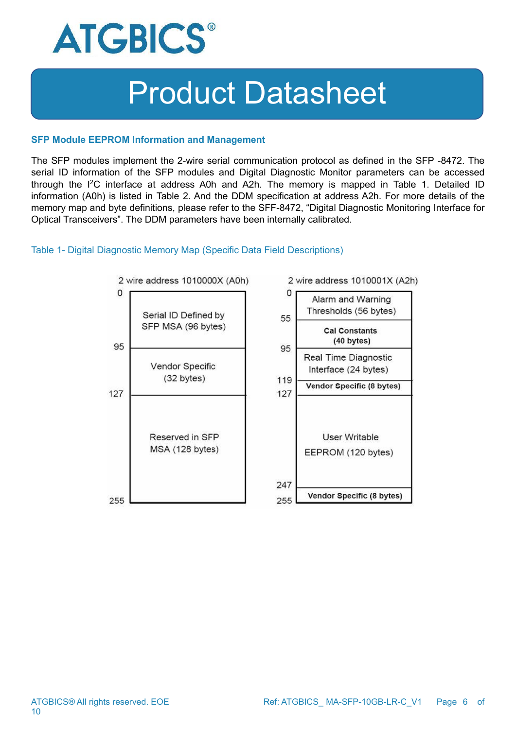

#### **SFP Module EEPROM Information and Management**

The SFP modules implement the 2-wire serial communication protocol as defined in the SFP -8472. The serial ID information of the SFP modules and Digital Diagnostic Monitor parameters can be accessed through the I<sup>2</sup>C interface at address A0h and A2h. The memory is mapped in Table 1. Detailed ID information (A0h) is listed in Table 2. And the DDM specification at address A2h. For more details of the memory map and byte definitions, please refer to the SFF-8472, "Digital Diagnostic Monitoring Interface for Optical Transceivers". The DDM parameters have been internally calibrated.

#### Table 1- Digital Diagnostic Memory Map (Specific Data Field Descriptions)

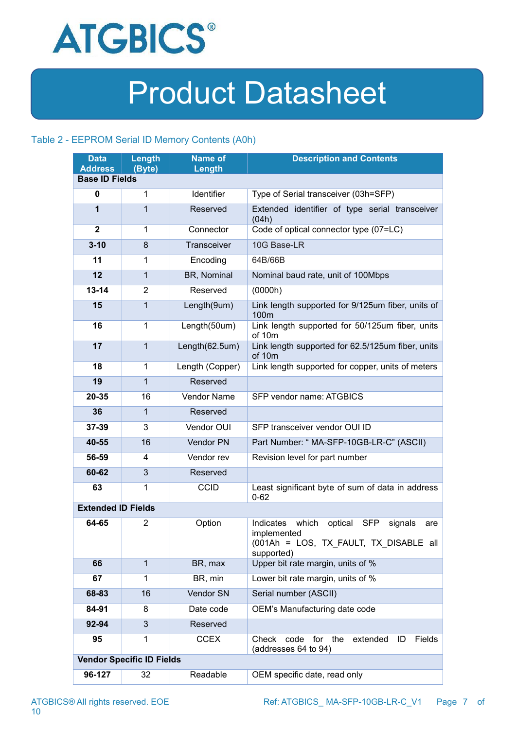

### Table 2 - EEPROM Serial ID Memory Contents (A0h)

| <b>Data</b>                             | Length                           | <b>Name of</b>  | <b>Description and Contents</b>                                                                                                      |  |
|-----------------------------------------|----------------------------------|-----------------|--------------------------------------------------------------------------------------------------------------------------------------|--|
| <b>Address</b><br><b>Base ID Fields</b> | (Byte)                           | Length          |                                                                                                                                      |  |
|                                         |                                  |                 |                                                                                                                                      |  |
| 0                                       | 1                                | Identifier      | Type of Serial transceiver (03h=SFP)                                                                                                 |  |
| 1                                       | 1                                | Reserved        | Extended identifier of type serial transceiver<br>(04h)                                                                              |  |
| $\mathbf 2$                             | 1                                | Connector       | Code of optical connector type (07=LC)                                                                                               |  |
| $3 - 10$                                | 8                                | Transceiver     | 10G Base-LR                                                                                                                          |  |
| 11                                      | 1                                | Encoding        | 64B/66B                                                                                                                              |  |
| 12                                      | 1                                | BR, Nominal     | Nominal baud rate, unit of 100Mbps                                                                                                   |  |
| $13 - 14$                               | $\overline{2}$                   | Reserved        | (0000h)                                                                                                                              |  |
| 15                                      | $\mathbf{1}$                     | Length(9um)     | Link length supported for 9/125um fiber, units of<br>100m                                                                            |  |
| 16                                      | 1                                | Length(50um)    | Link length supported for 50/125um fiber, units<br>of 10m                                                                            |  |
| 17                                      | 1                                | Length(62.5um)  | Link length supported for 62.5/125um fiber, units<br>of 10m                                                                          |  |
| 18                                      | 1                                | Length (Copper) | Link length supported for copper, units of meters                                                                                    |  |
| 19                                      | $\mathbf{1}$                     | Reserved        |                                                                                                                                      |  |
| 20-35                                   | 16                               | Vendor Name     | SFP vendor name: ATGBICS                                                                                                             |  |
| 36                                      | $\mathbf{1}$                     | Reserved        |                                                                                                                                      |  |
| 37-39                                   | 3                                | Vendor OUI      | SFP transceiver vendor OUI ID                                                                                                        |  |
| 40-55                                   | 16                               | Vendor PN       | Part Number: " MA-SFP-10GB-LR-C" (ASCII)                                                                                             |  |
| 56-59                                   | 4                                | Vendor rev      | Revision level for part number                                                                                                       |  |
| 60-62                                   | $\mathfrak{S}$                   | Reserved        |                                                                                                                                      |  |
| 63                                      | 1                                | <b>CCID</b>     | Least significant byte of sum of data in address<br>$0 - 62$                                                                         |  |
| <b>Extended ID Fields</b>               |                                  |                 |                                                                                                                                      |  |
| 64-65                                   | $\overline{2}$                   | Option          | which<br>Indicates<br>optical<br><b>SFP</b><br>signals<br>are<br>implemented<br>(001Ah = LOS, TX FAULT, TX DISABLE all<br>supported) |  |
| 66                                      | $\mathbf{1}$                     | BR, max         | Upper bit rate margin, units of %                                                                                                    |  |
| 67                                      | 1                                | BR, min         | Lower bit rate margin, units of %                                                                                                    |  |
| 68-83                                   | 16                               | Vendor SN       | Serial number (ASCII)                                                                                                                |  |
| 84-91                                   | 8                                | Date code       | OEM's Manufacturing date code                                                                                                        |  |
| 92-94                                   | $\mathfrak{S}$                   | Reserved        |                                                                                                                                      |  |
| 95                                      | 1                                | <b>CCEX</b>     | extended<br>Check code for the<br>Fields<br>ID<br>(addresses 64 to 94)                                                               |  |
|                                         | <b>Vendor Specific ID Fields</b> |                 |                                                                                                                                      |  |
| 96-127                                  | 32                               | Readable        | OEM specific date, read only                                                                                                         |  |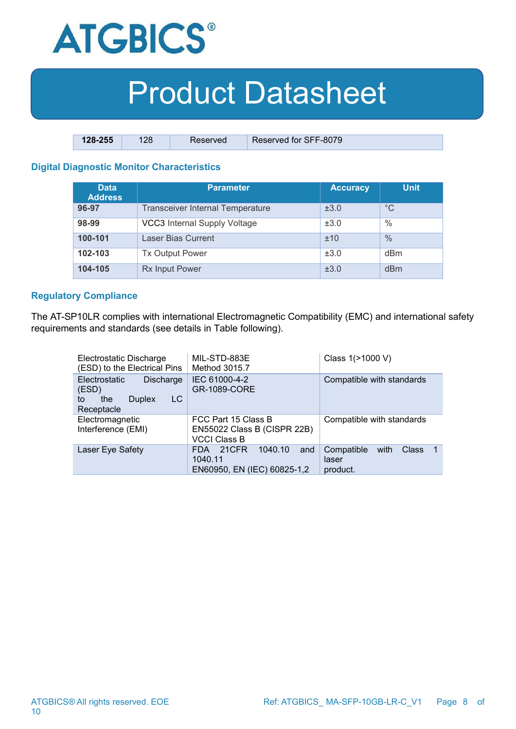

| 128-255 | 128 | Reserved | Reserved for SFF-8079 |
|---------|-----|----------|-----------------------|

### **Digital Diagnostic Monitor Characteristics**

| <b>Data</b><br><b>Address</b> | <b>Parameter</b>                        | <b>Accuracy</b> | <b>Unit</b>   |
|-------------------------------|-----------------------------------------|-----------------|---------------|
| 96-97                         | <b>Transceiver Internal Temperature</b> | ±3.0            | $^{\circ}C$   |
| 98-99                         | VCC3 Internal Supply Voltage            | ±3.0            | $\frac{0}{0}$ |
| 100-101                       | Laser Bias Current                      | ±10             | $\frac{0}{0}$ |
| 102-103                       | <b>Tx Output Power</b>                  | ±3.0            | dBm           |
| 104-105                       | <b>Rx Input Power</b>                   | ±3.0            | dBm           |

#### **Regulatory Compliance**

The AT-SP10LR complies with international Electromagnetic Compatibility (EMC) and international safety requirements and standards (see details in Table following).

| Electrostatic Discharge<br>(ESD) to the Electrical Pins                                | MIL-STD-883E<br>Method 3015.7                                             | Class 1(>1000 V)                                                       |  |  |
|----------------------------------------------------------------------------------------|---------------------------------------------------------------------------|------------------------------------------------------------------------|--|--|
| Electrostatic<br>Discharge<br>(ESD)<br>LC.<br><b>Duplex</b><br>the<br>to<br>Receptacle | IEC 61000-4-2<br>GR-1089-CORE                                             | Compatible with standards                                              |  |  |
| Electromagnetic<br>Interference (EMI)                                                  | FCC Part 15 Class B<br>EN55022 Class B (CISPR 22B)<br><b>VCCI Class B</b> | Compatible with standards                                              |  |  |
| Laser Eye Safety                                                                       | 21CFR<br>1040.10<br>and<br>FDA.<br>1040.11<br>EN60950, EN (IEC) 60825-1,2 | Compatible<br>with<br><b>Class</b><br>$\mathbf 1$<br>laser<br>product. |  |  |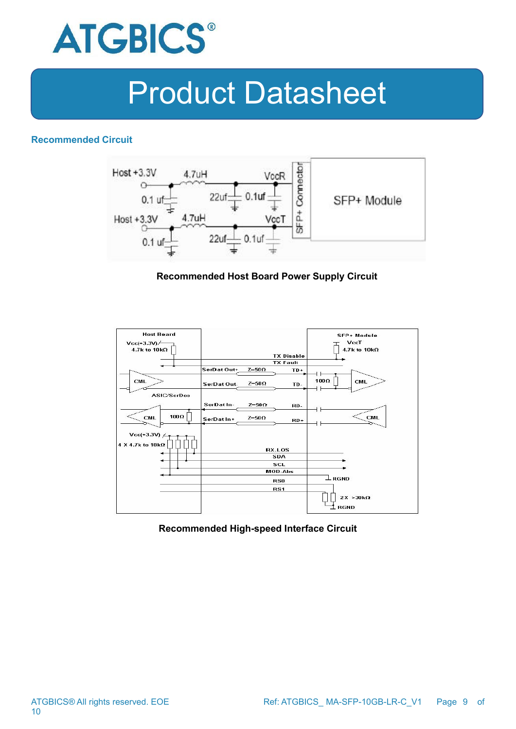

#### **Recommended Circuit**



### **Recommended Host Board Power Supply Circuit**



#### **Recommended High-speed Interface Circuit**